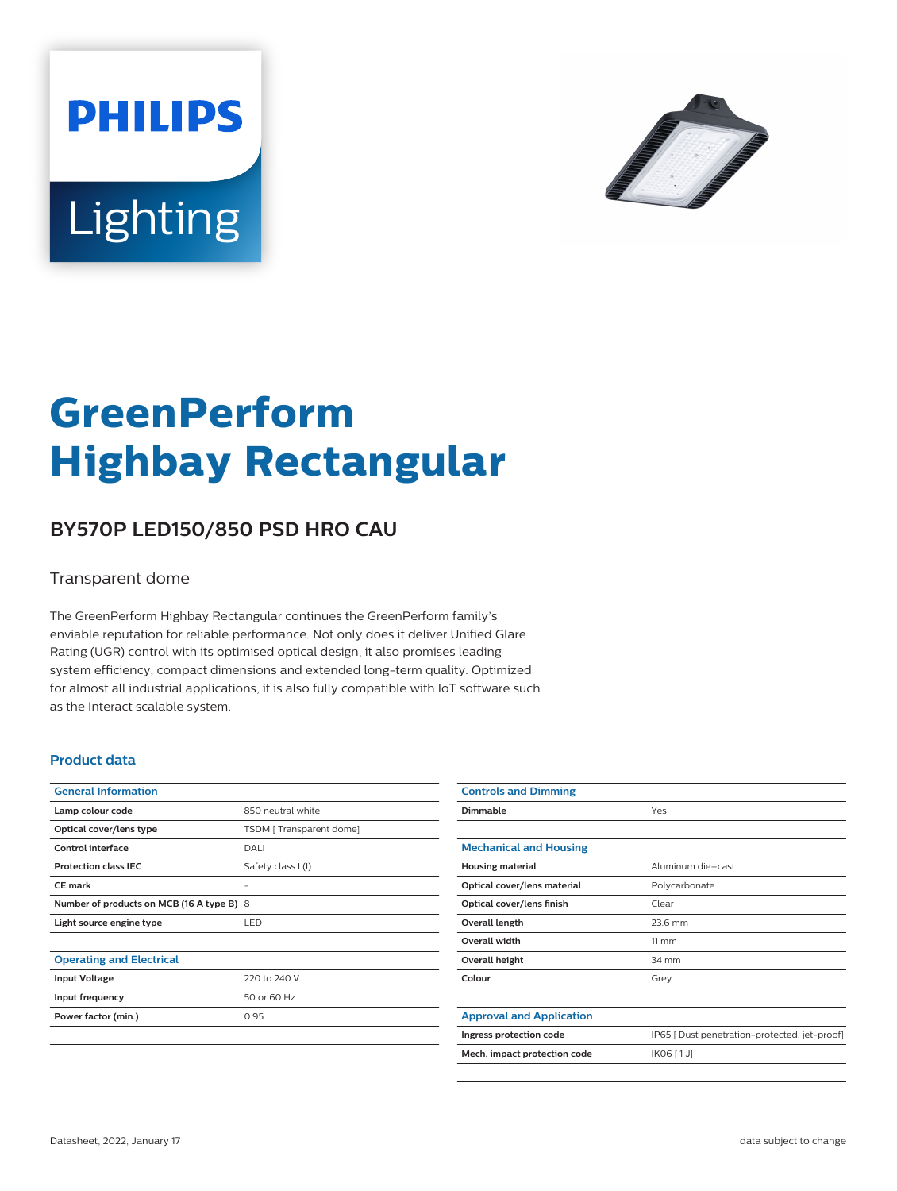



# **GreenPerform Highbay Rectangular**

## **BY570P LED150/850 PSD HRO CAU**

#### Transparent dome

The GreenPerform Highbay Rectangular continues the GreenPerform family's enviable reputation for reliable performance. Not only does it deliver Unified Glare Rating (UGR) control with its optimised optical design, it also promises leading system efficiency, compact dimensions and extended long-term quality. Optimized for almost all industrial applications, it is also fully compatible with IoT software such as the Interact scalable system.

#### **Product data**

| <b>General Information</b>                |                         |
|-------------------------------------------|-------------------------|
| Lamp colour code                          | 850 neutral white       |
| Optical cover/lens type                   | TSDM [Transparent dome] |
| Control interface                         | DALI                    |
| <b>Protection class IEC</b>               | Safety class I (I)      |
| CF mark                                   |                         |
| Number of products on MCB (16 A type B) 8 |                         |
| Light source engine type                  | <b>LED</b>              |
|                                           |                         |
| <b>Operating and Electrical</b>           |                         |
| <b>Input Voltage</b>                      | 220 to 240 V            |
| Input frequency                           | 50 or 60 Hz             |
| Power factor (min.)                       | 0.95                    |
|                                           |                         |

| <b>Controls and Dimming</b>     |                                               |
|---------------------------------|-----------------------------------------------|
| Dimmable                        | Yes                                           |
|                                 |                                               |
| <b>Mechanical and Housing</b>   |                                               |
| <b>Housing material</b>         | Aluminum die-cast                             |
| Optical cover/lens material     | Polycarbonate                                 |
| Optical cover/lens finish       | Clear                                         |
| Overall length                  | 23.6 mm                                       |
| <b>Overall width</b>            | $11 \, \mathrm{mm}$                           |
| Overall height                  | 34 mm                                         |
| Colour                          | Grey                                          |
|                                 |                                               |
| <b>Approval and Application</b> |                                               |
| Ingress protection code         | IP65 [ Dust penetration-protected, jet-proof] |
| Mech. impact protection code    | IK06 [1J]                                     |
|                                 |                                               |